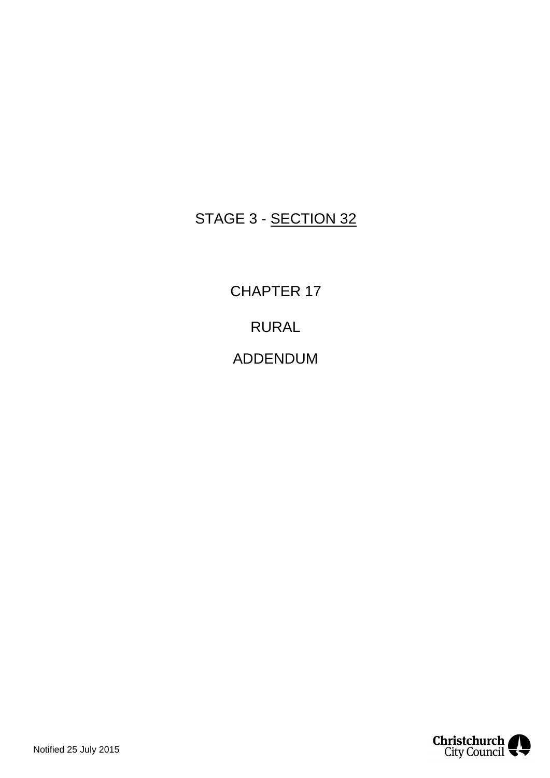# STAGE 3 - SECTION 32

CHAPTER 17 RURAL ADDENDUM

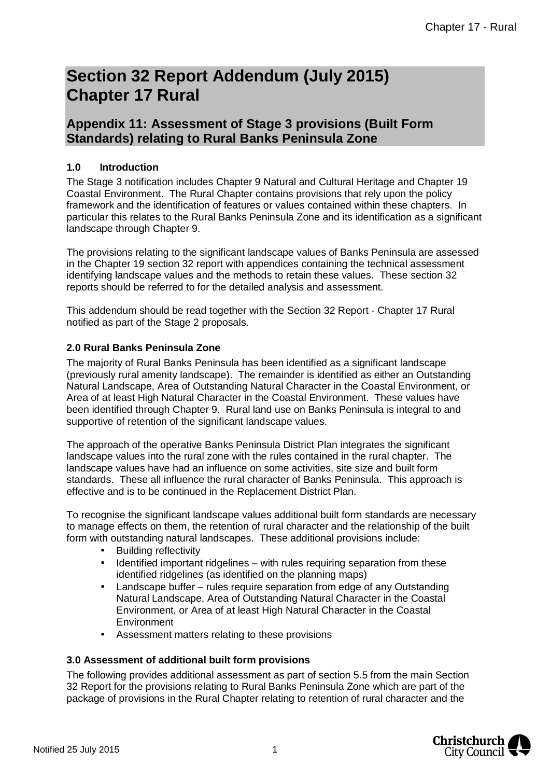# **Section 32 Report Addendum (July 2015) Chapter 17 Rural**

# **Appendix 11: Assessment of Stage 3 provisions (Built Form Standards) relating to Rural Banks Peninsula Zone**

## **1.0 Introduction**

The Stage 3 notification includes Chapter 9 Natural and Cultural Heritage and Chapter 19 Coastal Environment. The Rural Chapter contains provisions that rely upon the policy framework and the identification of features or values contained within these chapters. In particular this relates to the Rural Banks Peninsula Zone and its identification as a significant landscape through Chapter 9.

The provisions relating to the significant landscape values of Banks Peninsula are assessed in the Chapter 19 section 32 report with appendices containing the technical assessment identifying landscape values and the methods to retain these values. These section 32 reports should be referred to for the detailed analysis and assessment.

This addendum should be read together with the Section 32 Report - Chapter 17 Rural notified as part of the Stage 2 proposals.

## **2.0 Rural Banks Peninsula Zone**

The majority of Rural Banks Peninsula has been identified as a significant landscape (previously rural amenity landscape). The remainder is identified as either an Outstanding Natural Landscape, Area of Outstanding Natural Character in the Coastal Environment, or Area of at least High Natural Character in the Coastal Environment. These values have been identified through Chapter 9. Rural land use on Banks Peninsula is integral to and supportive of retention of the significant landscape values.

The approach of the operative Banks Peninsula District Plan integrates the significant landscape values into the rural zone with the rules contained in the rural chapter. The landscape values have had an influence on some activities, site size and built form standards. These all influence the rural character of Banks Peninsula. This approach is effective and is to be continued in the Replacement District Plan.

To recognise the significant landscape values additional built form standards are necessary to manage effects on them, the retention of rural character and the relationship of the built form with outstanding natural landscapes. These additional provisions include:

- Building reflectivity
- Identified important ridgelines with rules requiring separation from these identified ridgelines (as identified on the planning maps)
- Landscape buffer rules require separation from edge of any Outstanding Natural Landscape, Area of Outstanding Natural Character in the Coastal Environment, or Area of at least High Natural Character in the Coastal **Environment**
- Assessment matters relating to these provisions

## **3.0 Assessment of additional built form provisions**

The following provides additional assessment as part of section 5.5 from the main Section 32 Report for the provisions relating to Rural Banks Peninsula Zone which are part of the package of provisions in the Rural Chapter relating to retention of rural character and the

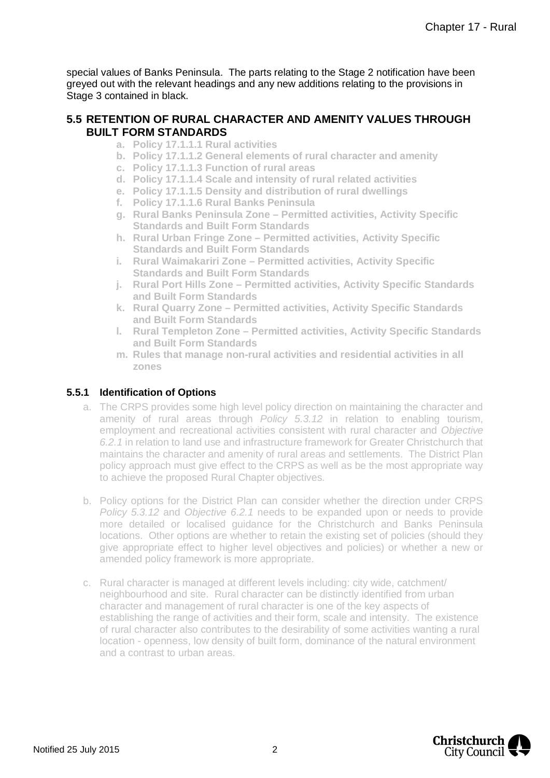special values of Banks Peninsula. The parts relating to the Stage 2 notification have been greyed out with the relevant headings and any new additions relating to the provisions in Stage 3 contained in black.

## **5.5 RETENTION OF RURAL CHARACTER AND AMENITY VALUES THROUGH BUILT FORM STANDARDS**

- **a. Policy 17.1.1.1 Rural activities**
- **b. Policy 17.1.1.2 General elements of rural character and amenity**
- **c. Policy 17.1.1.3 Function of rural areas**
- **d. Policy 17.1.1.4 Scale and intensity of rural related activities**
- **e. Policy 17.1.1.5 Density and distribution of rural dwellings**
- **f. Policy 17.1.1.6 Rural Banks Peninsula**
- **g. Rural Banks Peninsula Zone Permitted activities, Activity Specific Standards and Built Form Standards**
- **h. Rural Urban Fringe Zone Permitted activities, Activity Specific Standards and Built Form Standards**
- **i. Rural Waimakariri Zone Permitted activities, Activity Specific Standards and Built Form Standards**
- **j. Rural Port Hills Zone Permitted activities, Activity Specific Standards and Built Form Standards**
- **k. Rural Quarry Zone Permitted activities, Activity Specific Standards and Built Form Standards**
- **l. Rural Templeton Zone Permitted activities, Activity Specific Standards and Built Form Standards**
- **m. Rules that manage non-rural activities and residential activities in all zones**

## **5.5.1 Identification of Options**

- a. The CRPS provides some high level policy direction on maintaining the character and amenity of rural areas through *Policy 5.3.12* in relation to enabling tourism, employment and recreational activities consistent with rural character and *Objective 6.2.1* in relation to land use and infrastructure framework for Greater Christchurch that maintains the character and amenity of rural areas and settlements. The District Plan policy approach must give effect to the CRPS as well as be the most appropriate way to achieve the proposed Rural Chapter objectives.
- b. Policy options for the District Plan can consider whether the direction under CRPS *Policy 5.3.12* and *Objective 6.2.1* needs to be expanded upon or needs to provide more detailed or localised guidance for the Christchurch and Banks Peninsula locations. Other options are whether to retain the existing set of policies (should they give appropriate effect to higher level objectives and policies) or whether a new or amended policy framework is more appropriate.
- c. Rural character is managed at different levels including: city wide, catchment/ neighbourhood and site. Rural character can be distinctly identified from urban character and management of rural character is one of the key aspects of establishing the range of activities and their form, scale and intensity. The existence of rural character also contributes to the desirability of some activities wanting a rural location - openness, low density of built form, dominance of the natural environment and a contrast to urban areas.

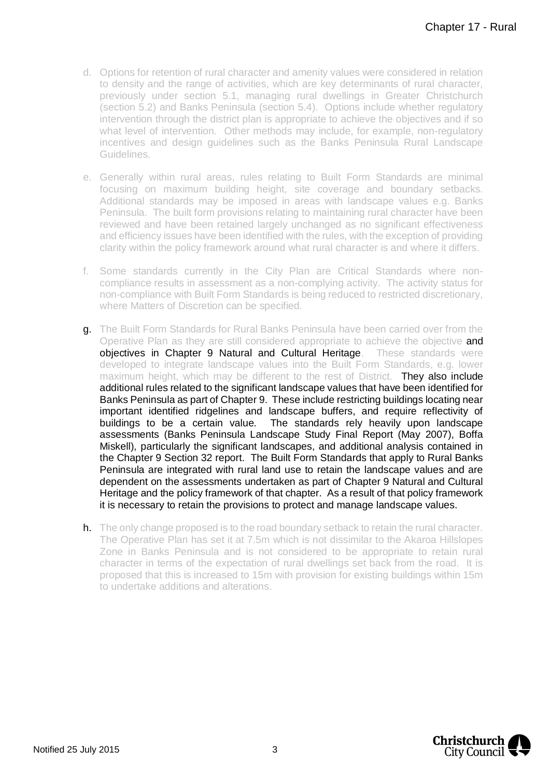- d. Options for retention of rural character and amenity values were considered in relation to density and the range of activities, which are key determinants of rural character, previously under section 5.1, managing rural dwellings in Greater Christchurch (section 5.2) and Banks Peninsula (section 5.4). Options include whether regulatory intervention through the district plan is appropriate to achieve the objectives and if so what level of intervention. Other methods may include, for example, non-regulatory incentives and design guidelines such as the Banks Peninsula Rural Landscape Guidelines.
- e. Generally within rural areas, rules relating to Built Form Standards are minimal focusing on maximum building height, site coverage and boundary setbacks. Additional standards may be imposed in areas with landscape values e.g. Banks Peninsula. The built form provisions relating to maintaining rural character have been reviewed and have been retained largely unchanged as no significant effectiveness and efficiency issues have been identified with the rules, with the exception of providing clarity within the policy framework around what rural character is and where it differs.
- f. Some standards currently in the City Plan are Critical Standards where noncompliance results in assessment as a non-complying activity. The activity status for non-compliance with Built Form Standards is being reduced to restricted discretionary, where Matters of Discretion can be specified.
- g. The Built Form Standards for Rural Banks Peninsula have been carried over from the Operative Plan as they are still considered appropriate to achieve the objective and obiectives in Chapter 9 Natural and Cultural Heritage. These standards were developed to integrate landscape values into the Built Form Standards, e.g. lower maximum height, which may be different to the rest of District. They also include additional rules related to the significant landscape values that have been identified for Banks Peninsula as part of Chapter 9. These include restricting buildings locating near important identified ridgelines and landscape buffers, and require reflectivity of buildings to be a certain value. The standards rely heavily upon landscape assessments (Banks Peninsula Landscape Study Final Report (May 2007), Boffa Miskell), particularly the significant landscapes, and additional analysis contained in the Chapter 9 Section 32 report. The Built Form Standards that apply to Rural Banks Peninsula are integrated with rural land use to retain the landscape values and are dependent on the assessments undertaken as part of Chapter 9 Natural and Cultural Heritage and the policy framework of that chapter. As a result of that policy framework it is necessary to retain the provisions to protect and manage landscape values.
- h. The only change proposed is to the road boundary setback to retain the rural character. The Operative Plan has set it at 7.5m which is not dissimilar to the Akaroa Hillslopes Zone in Banks Peninsula and is not considered to be appropriate to retain rural character in terms of the expectation of rural dwellings set back from the road. It is proposed that this is increased to 15m with provision for existing buildings within 15m to undertake additions and alterations.

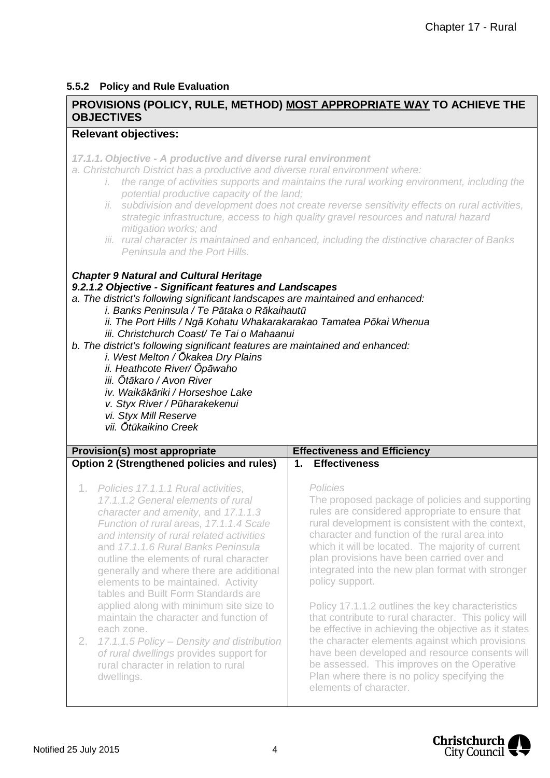## **5.5.2 Policy and Rule Evaluation**

# **PROVISIONS (POLICY, RULE, METHOD) MOST APPROPRIATE WAY TO ACHIEVE THE OBJECTIVES**

#### **Relevant objectives:**

*17.1.1. Objective - A productive and diverse rural environment*

*a. Christchurch District has a productive and diverse rural environment where:*

- *i. the range of activities supports and maintains the rural working environment, including the potential productive capacity of the land;*
- *ii. subdivision and development does not create reverse sensitivity effects on rural activities, strategic infrastructure, access to high quality gravel resources and natural hazard mitigation works; and*
- *iii. rural character is maintained and enhanced, including the distinctive character of Banks Peninsula and the Port Hills.*

#### *Chapter 9 Natural and Cultural Heritage*

#### *9.2.1.2 Objective - Significant features and Landscapes*

*a. The district's following significant landscapes are maintained and enhanced:*

*i. Banks Peninsula / Te Pātaka o Rākaihautū*

*ii. The Port Hills / Ngā Kohatu Whakarakarakao Tamatea Pōkai Whenua*

*iii. Christchurch Coast/ Te Tai o Mahaanui*

*b. The district's following significant features are maintained and enhanced:*

*i. West Melton / Ōkakea Dry Plains*

*ii. Heathcote River/ Ōpāwaho*

*iii. Ōtākaro / Avon River*

*iv. Waikākāriki / Horseshoe Lake*

*v. Styx River / Pūharakekenui*

*vi. Styx Mill Reserve*

*vii. Ōtūkaikino Creek*

| Provision(s) most appropriate                                                                                                                                                                                                                                                                                                                                                                                       | <b>Effectiveness and Efficiency</b>                                                                                                                                                                                                                                                                                                                                                             |
|---------------------------------------------------------------------------------------------------------------------------------------------------------------------------------------------------------------------------------------------------------------------------------------------------------------------------------------------------------------------------------------------------------------------|-------------------------------------------------------------------------------------------------------------------------------------------------------------------------------------------------------------------------------------------------------------------------------------------------------------------------------------------------------------------------------------------------|
| Option 2 (Strengthened policies and rules)                                                                                                                                                                                                                                                                                                                                                                          | <b>Effectiveness</b><br>$\mathbf 1$ .                                                                                                                                                                                                                                                                                                                                                           |
| Policies 17.1.1.1 Rural activities,<br>17.1.1.2 General elements of rural<br>character and amenity, and 17.1.1.3<br>Function of rural areas, 17.1.1.4 Scale<br>and intensity of rural related activities<br>and 17.1.1.6 Rural Banks Peninsula<br>outline the elements of rural character<br>generally and where there are additional<br>elements to be maintained. Activity<br>tables and Built Form Standards are | Policies<br>The proposed package of policies and supporting<br>rules are considered appropriate to ensure that<br>rural development is consistent with the context,<br>character and function of the rural area into<br>which it will be located. The majority of current<br>plan provisions have been carried over and<br>integrated into the new plan format with stronger<br>policy support. |
| applied along with minimum site size to<br>maintain the character and function of<br>each zone.<br>2. 17.1.1.5 Policy – Density and distribution<br>of rural dwellings provides support for<br>rural character in relation to rural                                                                                                                                                                                 | Policy 17.1.1.2 outlines the key characteristics<br>that contribute to rural character. This policy will<br>be effective in achieving the objective as it states<br>the character elements against which provisions<br>have been developed and resource consents will<br>be assessed. This improves on the Operative                                                                            |

Plan where there is no policy specifying the

elements of character.

dwellings.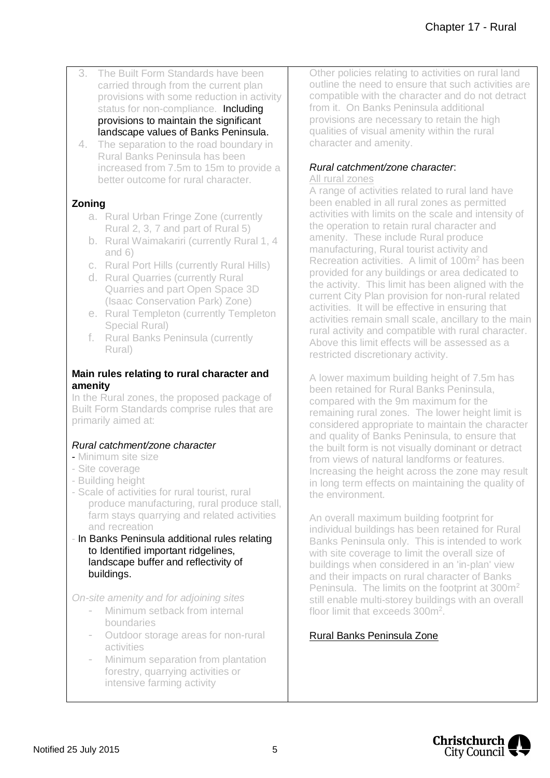- 3. The Built Form Standards have been carried through from the current plan provisions with some reduction in activity status for non-compliance. **Including** provisions to maintain the significant landscape values of Banks Peninsula.
- 4. The separation to the road boundary in Rural Banks Peninsula has been increased from 7.5m to 15m to provide a better outcome for rural character.

# **Zoning**

- a. Rural Urban Fringe Zone (currently Rural 2, 3, 7 and part of Rural 5)
- b. Rural Waimakariri (currently Rural 1, 4 and 6)
- c. Rural Port Hills (currently Rural Hills)
- d. Rural Quarries (currently Rural Quarries and part Open Space 3D (Isaac Conservation Park) Zone)
- e. Rural Templeton (currently Templeton Special Rural)
- f. Rural Banks Peninsula (currently Rural)

#### **Main rules relating to rural character and amenity**

In the Rural zones, the proposed package of Built Form Standards comprise rules that are primarily aimed at:

## *Rural catchment/zone character*

- Minimum site size
- Site coverage
- Building height
- Scale of activities for rural tourist, rural produce manufacturing, rural produce stall, farm stays quarrying and related activities and recreation
- In Banks Peninsula additional rules relating to Identified important ridgelines, landscape buffer and reflectivity of buildings.

*On-site amenity and for adjoining sites*

- Minimum setback from internal boundaries
- Outdoor storage areas for non-rural activities
- Minimum separation from plantation forestry, quarrying activities or intensive farming activity

Other policies relating to activities on rural land outline the need to ensure that such activities are compatible with the character and do not detract from it. On Banks Peninsula additional provisions are necessary to retain the high qualities of visual amenity within the rural character and amenity.

## *Rural catchment/zone character*:

#### All rural zones

A range of activities related to rural land have been enabled in all rural zones as permitted activities with limits on the scale and intensity of the operation to retain rural character and amenity. These include Rural produce manufacturing, Rural tourist activity and Recreation activities. A limit of 100m<sup>2</sup> has been provided for any buildings or area dedicated to the activity. This limit has been aligned with the current City Plan provision for non-rural related activities. It will be effective in ensuring that activities remain small scale, ancillary to the main rural activity and compatible with rural character. Above this limit effects will be assessed as a restricted discretionary activity.

A lower maximum building height of 7.5m has been retained for Rural Banks Peninsula, compared with the 9m maximum for the remaining rural zones. The lower height limit is considered appropriate to maintain the character and quality of Banks Peninsula, to ensure that the built form is not visually dominant or detract from views of natural landforms or features. Increasing the height across the zone may result in long term effects on maintaining the quality of the environment.

An overall maximum building footprint for individual buildings has been retained for Rural Banks Peninsula only. This is intended to work with site coverage to limit the overall size of buildings when considered in an 'in-plan' view and their impacts on rural character of Banks Peninsula. The limits on the footprint at 300m<sup>2</sup> still enable multi-storey buildings with an overall floor limit that exceeds 300m<sup>2</sup>.

# Rural Banks Peninsula Zone

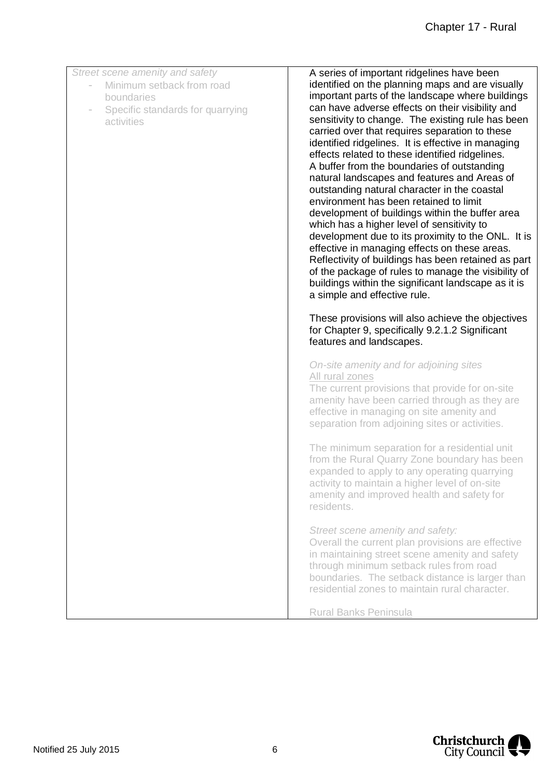| Street scene amenity and safety<br>Minimum setback from road | A series of important ridgelines have been<br>identified on the planning maps and are visually                                                                                                                                                                                                                                                                                                                                                                                                                                                                                                                                                                                                                                                                                                                                                                                                                             |
|--------------------------------------------------------------|----------------------------------------------------------------------------------------------------------------------------------------------------------------------------------------------------------------------------------------------------------------------------------------------------------------------------------------------------------------------------------------------------------------------------------------------------------------------------------------------------------------------------------------------------------------------------------------------------------------------------------------------------------------------------------------------------------------------------------------------------------------------------------------------------------------------------------------------------------------------------------------------------------------------------|
| boundaries<br>Specific standards for quarrying<br>activities | important parts of the landscape where buildings<br>can have adverse effects on their visibility and<br>sensitivity to change. The existing rule has been<br>carried over that requires separation to these<br>identified ridgelines. It is effective in managing<br>effects related to these identified ridgelines.<br>A buffer from the boundaries of outstanding<br>natural landscapes and features and Areas of<br>outstanding natural character in the coastal<br>environment has been retained to limit<br>development of buildings within the buffer area<br>which has a higher level of sensitivity to<br>development due to its proximity to the ONL. It is<br>effective in managing effects on these areas.<br>Reflectivity of buildings has been retained as part<br>of the package of rules to manage the visibility of<br>buildings within the significant landscape as it is<br>a simple and effective rule. |
|                                                              | These provisions will also achieve the objectives<br>for Chapter 9, specifically 9.2.1.2 Significant<br>features and landscapes.                                                                                                                                                                                                                                                                                                                                                                                                                                                                                                                                                                                                                                                                                                                                                                                           |
|                                                              | On-site amenity and for adjoining sites<br>All rural zones<br>The current provisions that provide for on-site<br>amenity have been carried through as they are<br>effective in managing on site amenity and<br>separation from adjoining sites or activities.                                                                                                                                                                                                                                                                                                                                                                                                                                                                                                                                                                                                                                                              |
|                                                              | The minimum separation for a residential unit<br>from the Rural Quarry Zone boundary has been<br>expanded to apply to any operating quarrying<br>activity to maintain a higher level of on-site<br>amenity and improved health and safety for<br>residents.                                                                                                                                                                                                                                                                                                                                                                                                                                                                                                                                                                                                                                                                |
|                                                              | Street scene amenity and safety:<br>Overall the current plan provisions are effective<br>in maintaining street scene amenity and safety<br>through minimum setback rules from road<br>boundaries. The setback distance is larger than<br>residential zones to maintain rural character.                                                                                                                                                                                                                                                                                                                                                                                                                                                                                                                                                                                                                                    |
|                                                              | <b>Rural Banks Peninsula</b>                                                                                                                                                                                                                                                                                                                                                                                                                                                                                                                                                                                                                                                                                                                                                                                                                                                                                               |

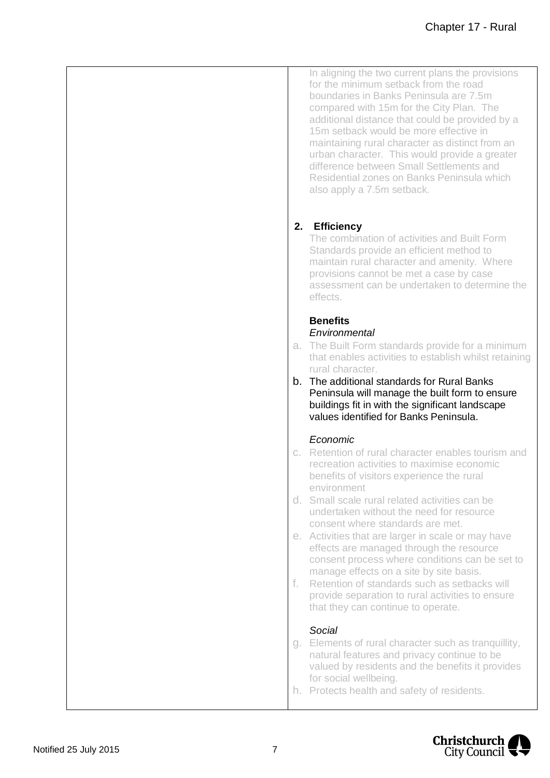In aligning the two current plans the provisions for the minimum setback from the road boundaries in Banks Peninsula are 7.5m compared with 15m for the City Plan. The additional distance that could be provided by a 15m setback would be more effective in maintaining rural character as distinct from an urban character. This would provide a greater difference between Small Settlements and Residential zones on Banks Peninsula which also apply a 7.5m setback.

## **2. Efficiency**

The combination of activities and Built Form Standards provide an efficient method to maintain rural character and amenity. Where provisions cannot be met a case by case assessment can be undertaken to determine the effects.

## **Benefits**

#### *Environmental*

- a. The Built Form standards provide for a minimum that enables activities to establish whilst retaining rural character.
- b. The additional standards for Rural Banks Peninsula will manage the built form to ensure buildings fit in with the significant landscape values identified for Banks Peninsula.

## *Economic*

- c. Retention of rural character enables tourism and recreation activities to maximise economic benefits of visitors experience the rural environment
- d. Small scale rural related activities can be undertaken without the need for resource consent where standards are met.
- e. Activities that are larger in scale or may have effects are managed through the resource consent process where conditions can be set to manage effects on a site by site basis.
- f. Retention of standards such as setbacks will provide separation to rural activities to ensure that they can continue to operate.

## *Social*

- g. Elements of rural character such as tranquillity, natural features and privacy continue to be valued by residents and the benefits it provides for social wellbeing.
- h. Protects health and safety of residents.